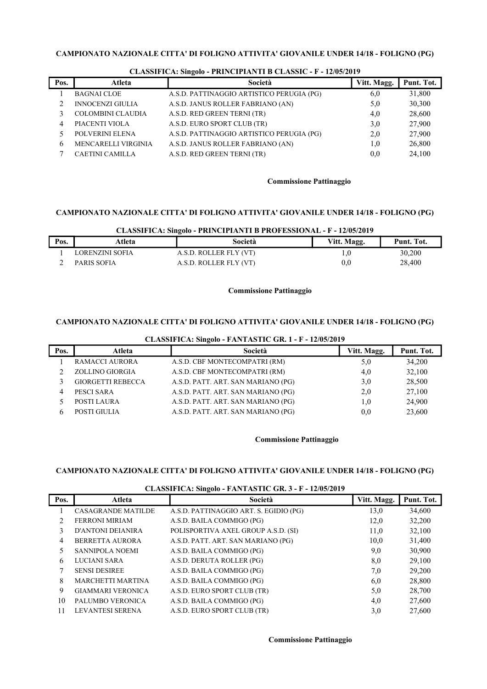|      |                            | -                                         |             |            |
|------|----------------------------|-------------------------------------------|-------------|------------|
| Pos. | Atleta                     | Società                                   | Vitt. Magg. | Punt. Tot. |
|      | <b>BAGNAI CLOE</b>         | A.S.D. PATTINAGGIO ARTISTICO PERUGIA (PG) | 6,0         | 31,800     |
| ↑    | <b>INNOCENZI GIULIA</b>    | A.S.D. JANUS ROLLER FABRIANO (AN)         | 5,0         | 30,300     |
|      | <b>COLOMBINI CLAUDIA</b>   | A.S.D. RED GREEN TERNI (TR)               | 4,0         | 28,600     |
|      | PIACENTI VIOLA             | A.S.D. EURO SPORT CLUB (TR)               | 3,0         | 27,900     |
|      | POLVERINI ELENA            | A.S.D. PATTINAGGIO ARTISTICO PERUGIA (PG) | 2,0         | 27,900     |
| h    | <b>MENCARELLI VIRGINIA</b> | A.S.D. JANUS ROLLER FABRIANO (AN)         | 1,0         | 26,800     |
|      | <b>CAETINI CAMILLA</b>     | A.S.D. RED GREEN TERNI (TR)               | 0,0         | 24,100     |
|      |                            |                                           |             |            |

## CLASSIFICA: Singolo - PRINCIPIANTI B CLASSIC - F - 12/05/2019

#### Commissione Pattinaggio

## CAMPIONATO NAZIONALE CITTA' DI FOLIGNO ATTIVITA' GIOVANILE UNDER 14/18 - FOLIGNO (PG)

#### CLASSIFICA: Singolo - PRINCIPIANTI B PROFESSIONAL - F - 12/05/2019

| Pos. | Atleta          | Società                | Vitt. Magg.  | Punt. Tot. |
|------|-----------------|------------------------|--------------|------------|
|      | LORENZINI SOFIA | A.S.D. ROLLER FLY (VT) |              | 30,200     |
|      | PARIS SOFIA     | A.S.D. ROLLER FLY (VT) | $_{\rm 0.0}$ | 28,400     |

## Commissione Pattinaggio

## CAMPIONATO NAZIONALE CITTA' DI FOLIGNO ATTIVITA' GIOVANILE UNDER 14/18 - FOLIGNO (PG)

## CLASSIFICA: Singolo - FANTASTIC GR. 1 - F - 12/05/2019

| Pos. | Atleta                   | Società                            | Vitt. Magg. | Punt. Tot. |
|------|--------------------------|------------------------------------|-------------|------------|
|      | RAMACCI AURORA           | A.S.D. CBF MONTECOMPATRI (RM)      | 5,0         | 34,200     |
|      | ZOLLINO GIORGIA          | A.S.D. CBF MONTECOMPATRI (RM)      | 4,0         | 32,100     |
|      | <b>GIORGETTI REBECCA</b> | A.S.D. PATT. ART. SAN MARIANO (PG) | 3,0         | 28,500     |
| 4    | PESCI SARA               | A.S.D. PATT. ART. SAN MARIANO (PG) | 2,0         | 27,100     |
|      | POSTI LAURA              | A.S.D. PATT. ART. SAN MARIANO (PG) | 1,0         | 24,900     |
|      | POSTI GIULIA             | A.S.D. PATT. ART. SAN MARIANO (PG) | 0.0         | 23,600     |

## Commissione Pattinaggio

## CAMPIONATO NAZIONALE CITTA' DI FOLIGNO ATTIVITA' GIOVANILE UNDER 14/18 - FOLIGNO (PG)

#### CLASSIFICA: Singolo - FANTASTIC GR. 3 - F - 12/05/2019

| Pos. | Atleta                    | Società                                | Vitt. Magg. | Punt. Tot. |
|------|---------------------------|----------------------------------------|-------------|------------|
|      | <b>CASAGRANDE MATILDE</b> | A.S.D. PATTINAGGIO ART. S. EGIDIO (PG) | 13,0        | 34,600     |
| 2    | <b>FERRONI MIRIAM</b>     | A.S.D. BAILA COMMIGO (PG)              | 12,0        | 32,200     |
| 3    | <b>D'ANTONI DEIANIRA</b>  | POLISPORTIVA AXEL GROUP A.S.D. (SI)    | 11,0        | 32,100     |
| 4    | <b>BERRETTA AURORA</b>    | A.S.D. PATT. ART. SAN MARIANO (PG)     | 10,0        | 31,400     |
|      | <b>SANNIPOLA NOEMI</b>    | A.S.D. BAILA COMMIGO (PG)              | 9,0         | 30,900     |
| 6    | LUCIANI SARA              | A.S.D. DERUTA ROLLER (PG)              | 8,0         | 29,100     |
| 7    | <b>SENSI DESIREE</b>      | A.S.D. BAILA COMMIGO (PG)              | 7,0         | 29,200     |
| 8    | <b>MARCHETTI MARTINA</b>  | A.S.D. BAILA COMMIGO (PG)              | 6,0         | 28,800     |
| 9    | <b>GIAMMARI VERONICA</b>  | A.S.D. EURO SPORT CLUB (TR)            | 5,0         | 28,700     |
| 10   | PALUMBO VERONICA          | A.S.D. BAILA COMMIGO (PG)              | 4,0         | 27,600     |
| 11   | <b>LEVANTESI SERENA</b>   | A.S.D. EURO SPORT CLUB (TR)            | 3,0         | 27,600     |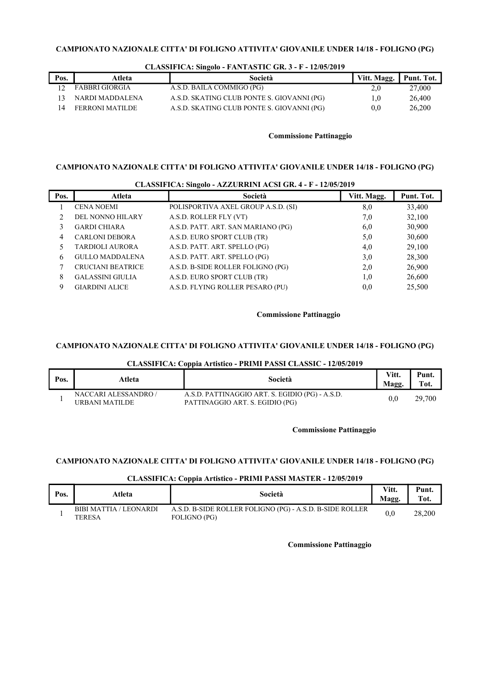| Pos. | Atleta          | Società                                    | Vitt. Magg. | Punt. Tot. |
|------|-----------------|--------------------------------------------|-------------|------------|
|      | FABBRI GIORGIA  | A.S.D. BAILA COMMIGO (PG)                  | 2,0         | 27,000     |
|      | NARDI MADDALENA | A.S.D. SKATING CLUB PONTE S. GIOVANNI (PG) | 0.1         | 26,400     |
|      | FERRONI MATILDE | A.S.D. SKATING CLUB PONTE S. GIOVANNI (PG) | 0.0         | 26,200     |

#### CLASSIFICA: Singolo - FANTASTIC GR. 3 - F - 12/05/2019

#### Commissione Pattinaggio

## CAMPIONATO NAZIONALE CITTA' DI FOLIGNO ATTIVITA' GIOVANILE UNDER 14/18 - FOLIGNO (PG)

| Atleta                   | Società                             | Vitt. Magg. | Punt. Tot.                                                  |  |  |  |
|--------------------------|-------------------------------------|-------------|-------------------------------------------------------------|--|--|--|
| <b>CENA NOEMI</b>        | POLISPORTIVA AXEL GROUP A.S.D. (SI) | 8,0         | 33,400                                                      |  |  |  |
| DEL NONNO HILARY         | A.S.D. ROLLER FLY (VT)              | 7,0         | 32,100                                                      |  |  |  |
| <b>GARDI CHIARA</b>      | A.S.D. PATT. ART. SAN MARIANO (PG)  | 6,0         | 30,900                                                      |  |  |  |
| <b>CARLONI DEBORA</b>    | A.S.D. EURO SPORT CLUB (TR)         | 5,0         | 30,600                                                      |  |  |  |
| <b>TARDIOLI AURORA</b>   | A.S.D. PATT. ART. SPELLO (PG)       | 4,0         | 29,100                                                      |  |  |  |
| <b>GULLO MADDALENA</b>   | A.S.D. PATT. ART. SPELLO (PG)       | 3,0         | 28,300                                                      |  |  |  |
| <b>CRUCIANI BEATRICE</b> | A.S.D. B-SIDE ROLLER FOLIGNO (PG)   | 2,0         | 26,900                                                      |  |  |  |
| <b>GALASSINI GIULIA</b>  | A.S.D. EURO SPORT CLUB (TR)         | 1,0         | 26,600                                                      |  |  |  |
| <b>GIARDINI ALICE</b>    | A.S.D. FLYING ROLLER PESARO (PU)    | 0,0         | 25,500                                                      |  |  |  |
|                          |                                     |             | CLASSIFICA: SINGOIO - AZZURRINI ACSI GR. 4 - F - 12/05/2019 |  |  |  |

# $CI$  ASSIFICA: Singolo - AZZURDINI ACSI CD  $A$  - F - 12/05/2010

#### Commissione Pattinaggio

## CAMPIONATO NAZIONALE CITTA' DI FOLIGNO ATTIVITA' GIOVANILE UNDER 14/18 - FOLIGNO (PG)

## CLASSIFICA: Coppia Artistico - PRIMI PASSI CLASSIC - 12/05/2019

| Pos. | Atleta                                 | Società                                                                            | Vitt.<br>Magg.   | Punt.<br>Tot. |
|------|----------------------------------------|------------------------------------------------------------------------------------|------------------|---------------|
|      | NACCARI ALESSANDRO /<br>URBANI MATILDE | A.S.D. PATTINAGGIO ART. S. EGIDIO (PG) - A.S.D.<br>PATTINAGGIO ART. S. EGIDIO (PG) | 0.0 <sub>1</sub> | 29,700        |

### Commissione Pattinaggio

## CAMPIONATO NAZIONALE CITTA' DI FOLIGNO ATTIVITA' GIOVANILE UNDER 14/18 - FOLIGNO (PG)

## CLASSIFICA: Coppia Artistico - PRIMI PASSI MASTER - 12/05/2019

| Pos. | Atleta                                  | Società                                                                  | Vitt.<br>Magg. | Punt.<br>Tot. |
|------|-----------------------------------------|--------------------------------------------------------------------------|----------------|---------------|
|      | <b>BIBI MATTIA / LEONARDI</b><br>TERESA | A.S.D. B-SIDE ROLLER FOLIGNO (PG) - A.S.D. B-SIDE ROLLER<br>FOLIGNO (PG) |                | 28,200        |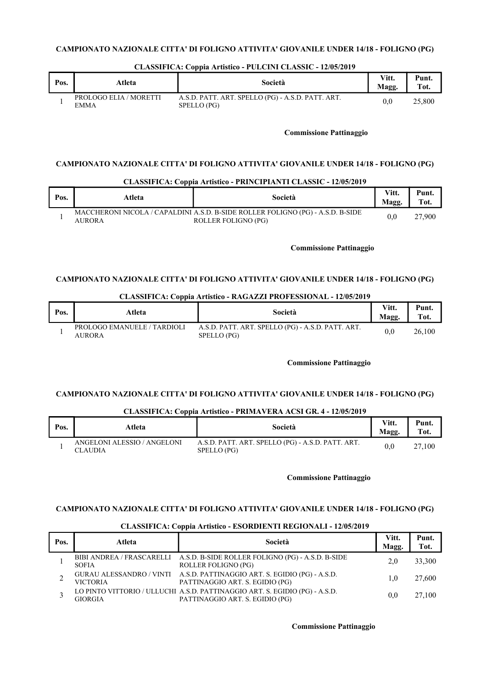| Pos. | Atleta                                | Società                                                          | Vitt.<br>Magg. | Punt.<br>Tot. |
|------|---------------------------------------|------------------------------------------------------------------|----------------|---------------|
|      | PROLOGO ELIA / MORETTI<br><b>EMMA</b> | A.S.D. PATT. ART. SPELLO (PG) - A.S.D. PATT. ART.<br>SPELLO (PG) | 0.0            | 25,800        |

## CLASSIFICA: Coppia Artistico - PULCINI CLASSIC - 12/05/2019

### Commissione Pattinaggio

## CAMPIONATO NAZIONALE CITTA' DI FOLIGNO ATTIVITA' GIOVANILE UNDER 14/18 - FOLIGNO (PG)

#### CLASSIFICA: Coppia Artistico - PRINCIPIANTI CLASSIC - 12/05/2019

| Pos. | Atleta | Società                                                                                                | Vitt.<br>Magg. | Punt.<br>T <sub>ot</sub> |
|------|--------|--------------------------------------------------------------------------------------------------------|----------------|--------------------------|
|      | AURORA | MACCHERONI NICOLA / CAPALDINI A.S.D. B-SIDE ROLLER FOLIGNO (PG) - A.S.D. B-SIDE<br>ROLLER FOLIGNO (PG) | $0.0\,$        | 27.900                   |

#### Commissione Pattinaggio

## CAMPIONATO NAZIONALE CITTA' DI FOLIGNO ATTIVITA' GIOVANILE UNDER 14/18 - FOLIGNO (PG)

## CLASSIFICA: Coppia Artistico - RAGAZZI PROFESSIONAL - 12/05/2019

| Pos. | Atleta                                | Società                                                          | Vitt.<br>Magg. | Punt.<br>Tot. |
|------|---------------------------------------|------------------------------------------------------------------|----------------|---------------|
|      | PROLOGO EMANUELE / TARDIOLI<br>AURORA | A.S.D. PATT. ART. SPELLO (PG) - A.S.D. PATT. ART.<br>SPELLO (PG) | 0.0            | 26.100        |

#### Commissione Pattinaggio

## CAMPIONATO NAZIONALE CITTA' DI FOLIGNO ATTIVITA' GIOVANILE UNDER 14/18 - FOLIGNO (PG)

### CLASSIFICA: Coppia Artistico - PRIMAVERA ACSI GR. 4 - 12/05/2019

| Pos. | Atleta                                        | Società                                                          | Vitt.<br>Magg. | Punt.<br>Tot. |
|------|-----------------------------------------------|------------------------------------------------------------------|----------------|---------------|
|      | ANGELONI ALESSIO / ANGELONI<br><b>CLAUDIA</b> | A.S.D. PATT. ART. SPELLO (PG) - A.S.D. PATT. ART.<br>SPELLO (PG) | 0.0            | 27.100        |

#### Commissione Pattinaggio

## CAMPIONATO NAZIONALE CITTA' DI FOLIGNO ATTIVITA' GIOVANILE UNDER 14/18 - FOLIGNO (PG)

## CLASSIFICA: Coppia Artistico - ESORDIENTI REGIONALI - 12/05/2019

| Pos. | Atleta          | Società                                                                                                        | Vitt.<br>Magg. | Punt.<br>Tot. |
|------|-----------------|----------------------------------------------------------------------------------------------------------------|----------------|---------------|
|      | <b>SOFIA</b>    | BIBI ANDREA / FRASCARELLI A.S.D. B-SIDE ROLLER FOLIGNO (PG) - A.S.D. B-SIDE<br>ROLLER FOLIGNO (PG)             | 2.0            | 33,300        |
|      | <b>VICTORIA</b> | GURAU ALESSANDRO / VINTI A.S.D. PATTINAGGIO ART. S. EGIDIO (PG) - A.S.D.<br>PATTINAGGIO ART. S. EGIDIO (PG)    | 1.0            | 27,600        |
|      | <b>GIORGIA</b>  | LO PINTO VITTORIO / ULLUCHI A.S.D. PATTINAGGIO ART. S. EGIDIO (PG) - A.S.D.<br>PATTINAGGIO ART. S. EGIDIO (PG) | 0.0            | 27,100        |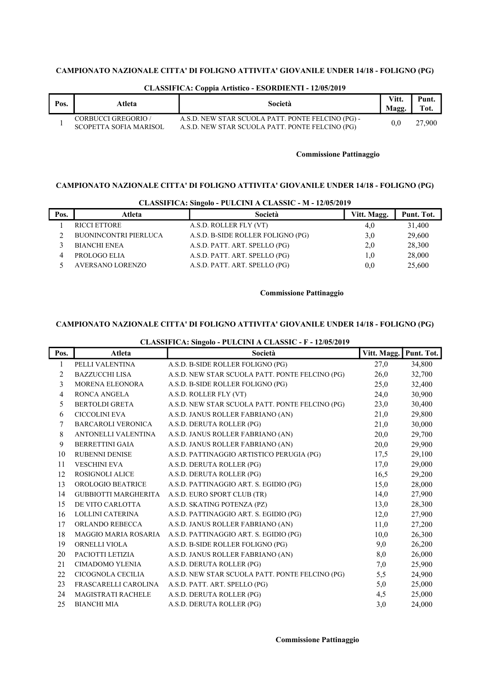| Pos. | Atleta                                        | Società                                                                                              | Vitt.<br>Magg. | <b>Punt</b><br>Tot. |
|------|-----------------------------------------------|------------------------------------------------------------------------------------------------------|----------------|---------------------|
|      | CORBUCCI GREGORIO /<br>SCOPETTA SOFIA MARISOL | A.S.D. NEW STAR SCUOLA PATT. PONTE FELCINO (PG) -<br>A.S.D. NEW STAR SCUOLA PATT. PONTE FELCINO (PG) | 0.0            | 27,900              |

## CLASSIFICA: Coppia Artistico - ESORDIENTI - 12/05/2019

## Commissione Pattinaggio

# CAMPIONATO NAZIONALE CITTA' DI FOLIGNO ATTIVITA' GIOVANILE UNDER 14/18 - FOLIGNO (PG)

| Pos. | Atleta                       | Società                           | Vitt. Magg.   | Punt. Tot. |
|------|------------------------------|-----------------------------------|---------------|------------|
|      | <b>RICCI ETTORE</b>          | A.S.D. ROLLER FLY (VT)            | 4,0           | 31,400     |
|      | <b>BUONINCONTRI PIERLUCA</b> | A.S.D. B-SIDE ROLLER FOLIGNO (PG) | 3.0           | 29,600     |
|      | <b>BIANCHI ENEA</b>          | A.S.D. PATT. ART. SPELLO (PG)     | 2.0           | 28,300     |
|      | PROLOGO ELIA                 | A.S.D. PATT. ART. SPELLO (PG)     | 0,1           | 28,000     |
|      | <b>AVERSANO LORENZO</b>      | A.S.D. PATT. ART. SPELLO (PG)     | $0.0^{\circ}$ | 25,600     |

#### CLASSIFICA: Singolo - PULCINI A CLASSIC - M - 12/05/2019

## Commissione Pattinaggio

# CAMPIONATO NAZIONALE CITTA' DI FOLIGNO ATTIVITA' GIOVANILE UNDER 14/18 - FOLIGNO (PG)

# CLASSIFICA: Singolo - PULCINI A CLASSIC - F - 12/05/2019

| Pos. | Atleta                      | Società                                         | Vitt. Magg. | Punt. Tot. |
|------|-----------------------------|-------------------------------------------------|-------------|------------|
| 1    | PELLI VALENTINA             | A.S.D. B-SIDE ROLLER FOLIGNO (PG)               | 27,0        | 34,800     |
| 2    | <b>BAZZUCCHI LISA</b>       | A.S.D. NEW STAR SCUOLA PATT. PONTE FELCINO (PG) | 26,0        | 32,700     |
| 3    | MORENA ELEONORA             | A.S.D. B-SIDE ROLLER FOLIGNO (PG)               | 25,0        | 32,400     |
| 4    | <b>RONCA ANGELA</b>         | A.S.D. ROLLER FLY (VT)                          | 24,0        | 30,900     |
| 5    | <b>BERTOLDI GRETA</b>       | A.S.D. NEW STAR SCUOLA PATT. PONTE FELCINO (PG) | 23,0        | 30,400     |
| 6    | <b>CICCOLINI EVA</b>        | A.S.D. JANUS ROLLER FABRIANO (AN)               | 21,0        | 29,800     |
| 7    | BARCAROLI VERONICA          | A.S.D. DERUTA ROLLER (PG)                       | 21,0        | 30,000     |
| 8    | ANTONELLI VALENTINA         | A.S.D. JANUS ROLLER FABRIANO (AN)               | 20,0        | 29,700     |
| 9    | <b>BERRETTINI GAIA</b>      | A.S.D. JANUS ROLLER FABRIANO (AN)               | 20,0        | 29,900     |
| 10   | <b>RUBENNI DENISE</b>       | A.S.D. PATTINAGGIO ARTISTICO PERUGIA (PG)       | 17,5        | 29,100     |
| 11   | <b>VESCHINI EVA</b>         | A.S.D. DERUTA ROLLER (PG)                       | 17,0        | 29,000     |
| 12   | <b>ROSIGNOLI ALICE</b>      | A.S.D. DERUTA ROLLER (PG)                       | 16,5        | 29,200     |
| 13   | OROLOGIO BEATRICE           | A.S.D. PATTINAGGIO ART. S. EGIDIO (PG)          | 15,0        | 28,000     |
| 14   | <b>GUBBIOTTI MARGHERITA</b> | A.S.D. EURO SPORT CLUB (TR)                     | 14,0        | 27,900     |
| 15   | DE VITO CARLOTTA            | A.S.D. SKATING POTENZA (PZ)                     | 13,0        | 28,300     |
| 16   | LOLLINI CATERINA            | A.S.D. PATTINAGGIO ART. S. EGIDIO (PG)          | 12,0        | 27,900     |
| 17   | ORLANDO REBECCA             | A.S.D. JANUS ROLLER FABRIANO (AN)               | 11,0        | 27,200     |
| 18   | <b>MAGGIO MARIA ROSARIA</b> | A.S.D. PATTINAGGIO ART. S. EGIDIO (PG)          | 10,0        | 26,300     |
| 19   | ORNELLI VIOLA               | A.S.D. B-SIDE ROLLER FOLIGNO (PG)               | 9,0         | 26,200     |
| 20   | PACIOTTI LETIZIA            | A.S.D. JANUS ROLLER FABRIANO (AN)               | 8,0         | 26,000     |
| 21   | <b>CIMADOMO YLENIA</b>      | A.S.D. DERUTA ROLLER (PG)                       | 7,0         | 25,900     |
| 22   | CICOGNOLA CECILIA           | A.S.D. NEW STAR SCUOLA PATT. PONTE FELCINO (PG) | 5,5         | 24,900     |
| 23   | FRASCARELLI CAROLINA        | A.S.D. PATT. ART. SPELLO (PG)                   | 5,0         | 25,000     |
| 24   | <b>MAGISTRATI RACHELE</b>   | A.S.D. DERUTA ROLLER (PG)                       | 4,5         | 25,000     |
| 25   | <b>BIANCHI MIA</b>          | A.S.D. DERUTA ROLLER (PG)                       | 3,0         | 24,000     |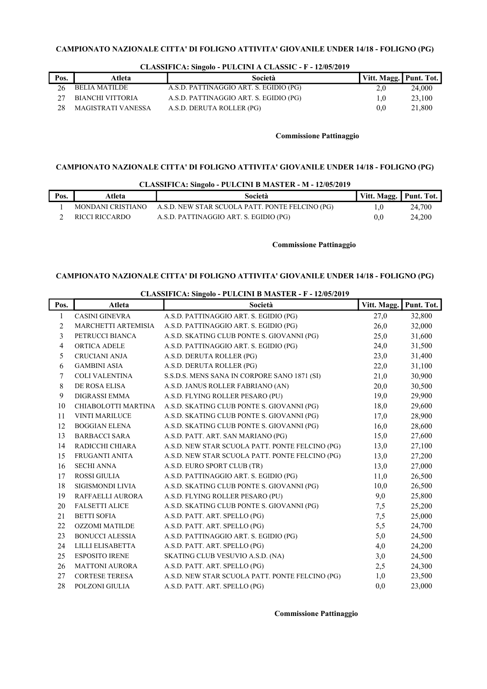| Pos. | Atleta                  | Società                                | Vitt. Magg. Punt. Tot. |        |
|------|-------------------------|----------------------------------------|------------------------|--------|
|      | BELIA MATILDE           | A.S.D. PATTINAGGIO ART. S. EGIDIO (PG) | 2.0                    | 24,000 |
|      | <b>BIANCHI VITTORIA</b> | A.S.D. PATTINAGGIO ART. S. EGIDIO (PG) | 1.0                    | 23,100 |
|      | MAGISTRATI VANESSA      | A.S.D. DERUTA ROLLER (PG)              | 0.0                    | 21,800 |

## CLASSIFICA: Singolo - PULCINI A CLASSIC - F - 12/05/2019

## Commissione Pattinaggio

## CAMPIONATO NAZIONALE CITTA' DI FOLIGNO ATTIVITA' GIOVANILE UNDER 14/18 - FOLIGNO (PG)

| Pos. | Atleta            | Società                                         | Vitt. Magg.   Punt. Tot. |        |
|------|-------------------|-------------------------------------------------|--------------------------|--------|
|      | MONDANI CRISTIANO | A.S.D. NEW STAR SCUOLA PATT. PONTE FELCINO (PG) |                          | 24,700 |
|      | RICCI RICCARDO    | A.S.D. PATTINAGGIO ART. S. EGIDIO (PG)          | 0.0                      | 24.200 |

#### Commissione Pattinaggio

## CAMPIONATO NAZIONALE CITTA' DI FOLIGNO ATTIVITA' GIOVANILE UNDER 14/18 - FOLIGNO (PG)

| Pos.           | Atleta                 | $\epsilon$ and $\epsilon$ and $\epsilon$ and $\epsilon$ and $\epsilon$ and $\epsilon$ and $\epsilon$ and $\epsilon$ and $\epsilon$ and $\epsilon$ and $\epsilon$ and $\epsilon$ and $\epsilon$ and $\epsilon$ and $\epsilon$ and $\epsilon$ and $\epsilon$ and $\epsilon$ and $\epsilon$ and $\epsilon$ and $\epsilon$ and $\epsilon$ and $\epsilon$ and $\epsilon$ and $\epsilon$<br>Società | Vitt. Magg. | Punt. Tot. |
|----------------|------------------------|-----------------------------------------------------------------------------------------------------------------------------------------------------------------------------------------------------------------------------------------------------------------------------------------------------------------------------------------------------------------------------------------------|-------------|------------|
| 1              | <b>CASINI GINEVRA</b>  | A.S.D. PATTINAGGIO ART. S. EGIDIO (PG)                                                                                                                                                                                                                                                                                                                                                        | 27,0        | 32,800     |
| $\overline{2}$ | MARCHETTI ARTEMISIA    | A.S.D. PATTINAGGIO ART. S. EGIDIO (PG)                                                                                                                                                                                                                                                                                                                                                        | 26,0        | 32,000     |
| 3              | PETRUCCI BIANCA        | A.S.D. SKATING CLUB PONTE S. GIOVANNI (PG)                                                                                                                                                                                                                                                                                                                                                    | 25,0        | 31,600     |
| 4              | ORTICA ADELE           | A.S.D. PATTINAGGIO ART. S. EGIDIO (PG)                                                                                                                                                                                                                                                                                                                                                        | 24,0        | 31,500     |
| 5              | <b>CRUCIANI ANJA</b>   | A.S.D. DERUTA ROLLER (PG)                                                                                                                                                                                                                                                                                                                                                                     | 23,0        | 31,400     |
| 6              | <b>GAMBINI ASIA</b>    | A.S.D. DERUTA ROLLER (PG)                                                                                                                                                                                                                                                                                                                                                                     | 22,0        | 31,100     |
| 7              | <b>COLI VALENTINA</b>  | S.S.D.S. MENS SANA IN CORPORE SANO 1871 (SI)                                                                                                                                                                                                                                                                                                                                                  | 21,0        | 30,900     |
| 8              | DE ROSA ELISA          | A.S.D. JANUS ROLLER FABRIANO (AN)                                                                                                                                                                                                                                                                                                                                                             | 20,0        | 30,500     |
| 9              | <b>DIGRASSI EMMA</b>   | A.S.D. FLYING ROLLER PESARO (PU)                                                                                                                                                                                                                                                                                                                                                              | 19,0        | 29,900     |
| 10             | CHIABOLOTTI MARTINA    | A.S.D. SKATING CLUB PONTE S. GIOVANNI (PG)                                                                                                                                                                                                                                                                                                                                                    | 18,0        | 29,600     |
| 11             | <b>VINTI MARILUCE</b>  | A.S.D. SKATING CLUB PONTE S. GIOVANNI (PG)                                                                                                                                                                                                                                                                                                                                                    | 17,0        | 28,900     |
| 12             | <b>BOGGIAN ELENA</b>   | A.S.D. SKATING CLUB PONTE S. GIOVANNI (PG)                                                                                                                                                                                                                                                                                                                                                    | 16,0        | 28,600     |
| 13             | <b>BARBACCI SARA</b>   | A.S.D. PATT. ART. SAN MARIANO (PG)                                                                                                                                                                                                                                                                                                                                                            | 15,0        | 27,600     |
| 14             | RADICCHI CHIARA        | A.S.D. NEW STAR SCUOLA PATT. PONTE FELCINO (PG)                                                                                                                                                                                                                                                                                                                                               | 13,0        | 27,100     |
| 15             | <b>FRUGANTI ANITA</b>  | A.S.D. NEW STAR SCUOLA PATT. PONTE FELCINO (PG)                                                                                                                                                                                                                                                                                                                                               | 13,0        | 27,200     |
| 16             | <b>SECHI ANNA</b>      | A.S.D. EURO SPORT CLUB (TR)                                                                                                                                                                                                                                                                                                                                                                   | 13,0        | 27,000     |
| 17             | <b>ROSSI GIULIA</b>    | A.S.D. PATTINAGGIO ART. S. EGIDIO (PG)                                                                                                                                                                                                                                                                                                                                                        | 11,0        | 26,500     |
| 18             | SIGISMONDI LIVIA       | A.S.D. SKATING CLUB PONTE S. GIOVANNI (PG)                                                                                                                                                                                                                                                                                                                                                    | 10,0        | 26,500     |
| 19             | RAFFAELLI AURORA       | A.S.D. FLYING ROLLER PESARO (PU)                                                                                                                                                                                                                                                                                                                                                              | 9,0         | 25,800     |
| 20             | <b>FALSETTI ALICE</b>  | A.S.D. SKATING CLUB PONTE S. GIOVANNI (PG)                                                                                                                                                                                                                                                                                                                                                    | 7,5         | 25,200     |
| 21             | <b>BETTI SOFIA</b>     | A.S.D. PATT. ART. SPELLO (PG)                                                                                                                                                                                                                                                                                                                                                                 | 7,5         | 25,000     |
| 22             | <b>OZZOMI MATILDE</b>  | A.S.D. PATT. ART. SPELLO (PG)                                                                                                                                                                                                                                                                                                                                                                 | 5,5         | 24,700     |
| 23             | <b>BONUCCI ALESSIA</b> | A.S.D. PATTINAGGIO ART. S. EGIDIO (PG)                                                                                                                                                                                                                                                                                                                                                        | 5,0         | 24,500     |
| 24             | LILLI ELISABETTA       | A.S.D. PATT. ART. SPELLO (PG)                                                                                                                                                                                                                                                                                                                                                                 | 4,0         | 24,200     |
| 25             | <b>ESPOSITO IRENE</b>  | SKATING CLUB VESUVIO A.S.D. (NA)                                                                                                                                                                                                                                                                                                                                                              | 3,0         | 24,500     |
| 26             | <b>MATTONI AURORA</b>  | A.S.D. PATT. ART. SPELLO (PG)                                                                                                                                                                                                                                                                                                                                                                 | 2,5         | 24,300     |
| 27             | <b>CORTESE TERESA</b>  | A.S.D. NEW STAR SCUOLA PATT. PONTE FELCINO (PG)                                                                                                                                                                                                                                                                                                                                               | 1,0         | 23,500     |
| 28             | POLZONI GIULIA         | A.S.D. PATT. ART. SPELLO (PG)                                                                                                                                                                                                                                                                                                                                                                 | 0.0         | 23,000     |

CLASSIFICA: Singolo - PULCINI B MASTER - F - 12/05/2019